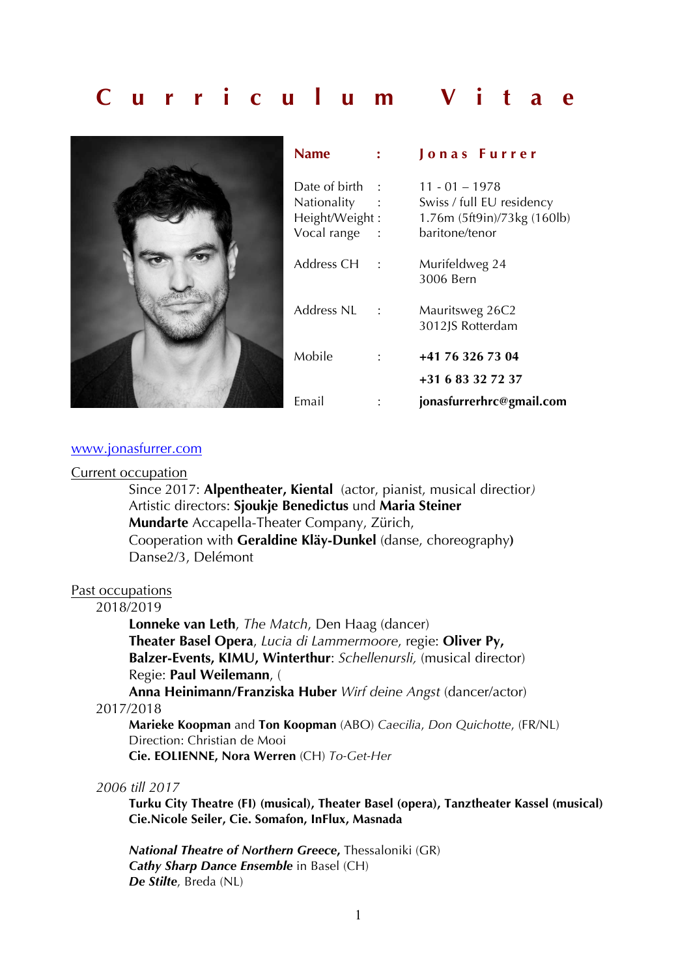# **Curriculum Vitae**



| Name                                                          | <b>Jonas Furrer</b>                                                                            |
|---------------------------------------------------------------|------------------------------------------------------------------------------------------------|
| Date of birth<br>Nationality<br>Height/Weight:<br>Vocal range | $11 - 01 - 1978$<br>Swiss / full EU residency<br>1.76m (5ft9in)/73kg (160lb)<br>baritone/tenor |
| Address CH                                                    | Murifeldweg 24<br>3006 Bern                                                                    |
| Address NI                                                    | Mauritsweg 26C2<br>3012JS Rotterdam                                                            |
| Mobile                                                        | +41 76 326 73 04<br>+31 6 83 32 72 37                                                          |
| Email                                                         | jonasfurrerhrc@gmail.com                                                                       |

#### www.jonasfurrer.com

#### Current occupation

Since 2017: **Alpentheater, Kiental** (actor, pianist, musical directior*)*  Artistic directors: **Sjoukje Benedictus** und **Maria Steiner Mundarte** Accapella-Theater Company, Zürich, Cooperation with **Geraldine Kläy-Dunkel** (danse, choreography**)** Danse2/3, Delémont

# Past occupations

# 2018/2019

**Lonneke van Leth**, *The Match*, Den Haag (dancer) **Theater Basel Opera**, *Lucia di Lammermoore*, regie: **Oliver Py, Balzer-Events, KIMU, Winterthur**: *Schellenursli,* (musical director) Regie: **Paul Weilemann**, (

**Anna Heinimann/Franziska Huber** *Wirf deine Angst* (dancer/actor) 2017/2018

**Marieke Koopman** and **Ton Koopman** (ABO) *Caecilia*, *Don Quichotte*, (FR/NL) Direction: Christian de Mooi **Cie. EOLIENNE, Nora Werren** (CH) *To-Get-Her*

#### *2006 till 2017*

**Turku City Theatre (FI) (musical), Theater Basel (opera), Tanztheater Kassel (musical) Cie.Nicole Seiler, Cie. Somafon, InFlux, Masnada**

*National Theatre of Northern Greece***,** Thessaloniki (GR) *Cathy Sharp Dance Ensemble* in Basel (CH) *De Stilte*, Breda (NL)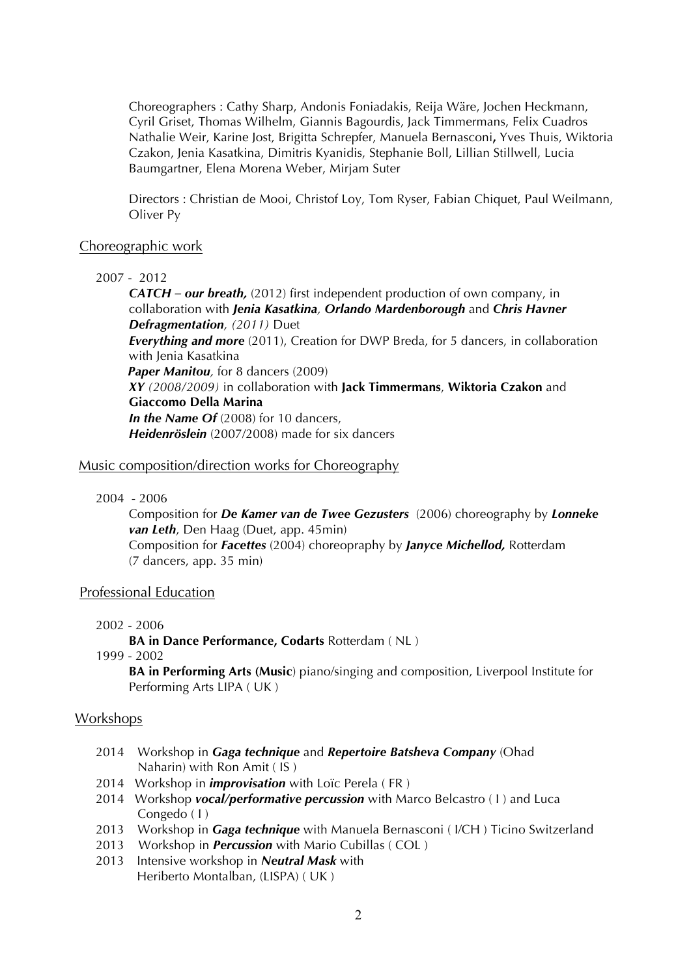Choreographers : Cathy Sharp, Andonis Foniadakis, Reija Wäre, Jochen Heckmann, Cyril Griset, Thomas Wilhelm, Giannis Bagourdis, Jack Timmermans, Felix Cuadros Nathalie Weir, Karine Jost, Brigitta Schrepfer, Manuela Bernasconi**,** Yves Thuis, Wiktoria Czakon, Jenia Kasatkina, Dimitris Kyanidis, Stephanie Boll, Lillian Stillwell, Lucia Baumgartner, Elena Morena Weber, Mirjam Suter

Directors : Christian de Mooi, Christof Loy, Tom Ryser, Fabian Chiquet, Paul Weilmann, Oliver Py

## Choreographic work

#### 2007 - 2012

*CATCH – our breath,* (2012) first independent production of own company, in collaboration with *Jenia Kasatkina, Orlando Mardenborough* and *Chris Havner Defragmentation, (2011)* Duet *Everything and more* (2011), Creation for DWP Breda, for 5 dancers, in collaboration

with Jenia Kasatkina

**Paper Manitou**, for 8 dancers (2009)

*XY (2008/2009)* in collaboration with **Jack Timmermans**, **Wiktoria Czakon** and **Giaccomo Della Marina** *In the Name Of* (2008) for 10 dancers,

*Heidenröslein* (2007/2008) made for six dancers

## Music composition/direction works for Choreography

2004 - 2006

Composition for *De Kamer van de Twee Gezusters* (2006) choreography by *Lonneke van Leth*, Den Haag (Duet, app. 45min) Composition for *Facettes* (2004) choreopraphy by *Janyce Michellod,* Rotterdam (7 dancers, app. 35 min)

## Professional Education

2002 - 2006

**BA in Dance Performance, Codarts** Rotterdam ( NL )

1999 - 2002

**BA in Performing Arts (Music**) piano/singing and composition, Liverpool Institute for Performing Arts LIPA ( UK )

## Workshops

- 2014 Workshop in *Gaga technique* and *Repertoire Batsheva Company* (Ohad Naharin) with Ron Amit ( IS )
- 2014 Workshop in *improvisation* with Loïc Perela ( FR )
- 2014 Workshop *vocal/performative percussion* with Marco Belcastro ( I ) and Luca Congedo ( I )
- 2013 Workshop in *Gaga technique* with Manuela Bernasconi ( I/CH ) Ticino Switzerland
- 2013 Workshop in *Percussion* with Mario Cubillas ( COL )
- 2013 Intensive workshop in *Neutral Mask* with Heriberto Montalban, (LISPA) ( UK )